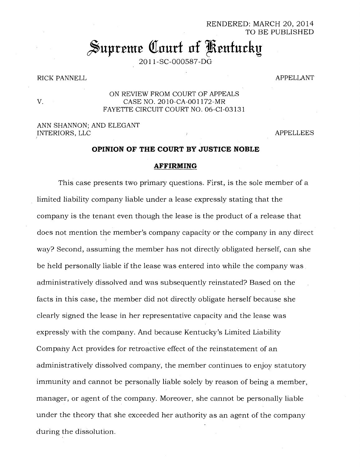RENDERED: MARCH 20, 2014 TO BE PUBLISHED

# Supreme Court of Kentucky

2011-SC-000587-DG

## RICK PANNELL **APPELLANT**

## ON REVIEW FROM COURT OF APPEALS V. CASE NO. 2010-CA-001172-MR FAYETTE CIRCUIT COURT NO. 06-CI-03131

## ANN SHANNON; AND ELEGANT INTERIORS, LLC APPELLEES

## **OPINION OF THE COURT BY JUSTICE NOBLE**

#### **AFFIRMING**

This case presents two primary questions. First, is the sole member of a limited liability company liable under a lease expressly stating that the company is the tenant even though the lease is the product of a release that does not mention the member's company capacity or the company in any direct way? Second, assuming the member has not directly obligated herself, can she be held personally liable if the lease was entered into while the company was administratively dissolved and was subsequently reinstated? Based on the facts in this case, the member did not directly obligate herself because she clearly signed the lease in her representative capacity and the lease was expressly with the company. And because Kentucky's Limited Liability Company Act provides for retroactive effect of the reinstatement of an administratively dissolved company, the member continues to enjoy statutory immunity and cannot be personally liable solely by reason of being a member, manager, or agent of the company. Moreover, she cannot be personally liable under the theory that she exceeded her authority as an agent of the company during the dissolution.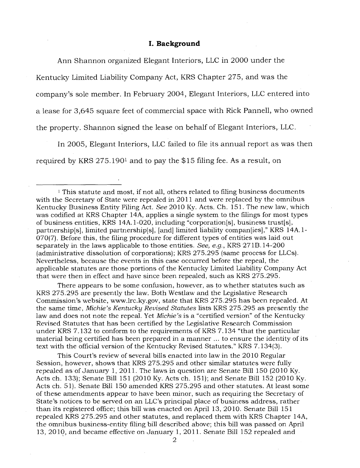## **I. Background**

Ann Shannon organized Elegant Interiors, LLC in 2000 under the Kentucky Limited Liability Company Act, KRS Chapter 275, and was the company's sole member. In February 2004, Elegant Interiors, LLC entered into a lease for 3,645 square feet of commercial space with Rick Pannell, who owned the property. Shannon signed the lease on behalf of Elegant Interiors, LLC.

In 2005, Elegant Interiors, LLC failed to file its annual report as was then required by KRS  $275.190<sup>1</sup>$  and to pay the \$15 filing fee. As a result, on

There appears to be some confusion, however, as to whether statutes such as KRS 275.295 are presently the law. Both Westlaw and the Legislative Research Commission's website, www.lrc.ky.gov, state that KRS 275.295 has been repealed. At the same time, *Michie's Kentucky Revised Statutes* lists KRS 275.295 as presently the law and does not note the repeal. Yet *Michie's* is a "certified version" of the Kentucky Revised Statutes that has been certified by the Legislative Research Commission under KRS 7.132 to conform to the requirements of KRS 7.134 "that the particular material being certified has been prepared in a manner ... to ensure the identity of its text with the official version of the Kentucky Revised Statutes." KRS 7.134(3).

This Court's review of several bills enacted into law in the 2010 Regular Session, however, shows that KRS 275.295 and other similar statutes were fully repealed as of January 1, 2011. The laws in question are Senate Bill 150 (2010 Ky. Acts ch. 133); Senate Bill 151 (2010 Ky. Acts ch. 151); and Senate Bill 152 (2010 Ky. Acts ch. 51). Senate Bill 150 amended KRS 275.295 and other statutes. At least some of these amendments appear to have been minor, such as requiring the Secretary of State's notices to be served on an LLC's principal place of business address, rather than its registered office; this bill was enacted on April 13, 2010. Senate Bill 151 repealed KRS 275.295 and other statutes, and replaced them with KRS Chapter 14A, the omnibus business-entity filing bill described above; this bill was passed on April 13, 2010, and became effective on January 1, 2011. Senate Bill 152 repealed and

<sup>&</sup>lt;sup>1</sup> This statute and most, if not all, others related to filing business documents with the Secretary of State were repealed in 2011 and were replaced by the omnibus Kentucky Business Entity Filing Act. *See* 2010 Ky. Acts. Ch. 151. The new law, which was codified at KRS Chapter 14A, applies a single system to the filings for most types of business entities, KRS 14A.1-020, including "corporation[s], business trust[s], partnership[s], limited partnership[s], [and] limited liability compan[ies]," KRS 14A.1- 070(7). Before this, the filing procedure for different types of entities was laid out separately in the laws applicable to those entities. *See, e.g.,* KRS 271B.14-200 (administrative dissolution of corporations); KRS 275.295 (same process for LLCs). Nevertheless, because the events in this case occurred before the repeal, the applicable statutes are those portions of the Kentucky Limited Liability Company Act that were then in effect and have since been repealed, such as KRS 275.295.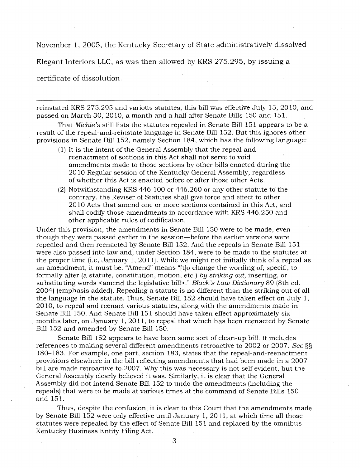November 1, 2005, the Kentucky Secretary of State administratively dissolved

Elegant Interiors LLC, as was then allowed by KRS 275.295, by issuing a

certificate of dissolution.

reinstated KRS 275.295 and various statutes; this bill was effective July 15, 2010, and passed on March 30, 2010, a month and a half after Senate Bills 150 and 151.

That *Michie's* still lists the statutes repealed in Senate Bill 151 appears to be a result of the repeal-and-reinstate language in Senate Bill 152. But this ignores other provisions in Senate Bill 152, namely Section 184, which has the following language:

- (1) It is the intent of the General Assembly that the repeal and reenactment of sections in this Act shall not serve to void amendments made to those sections by other bills enacted during the 2010 Regular session of the Kentucky General Assembly, regardless of whether this Act is enacted before or after those other Acts.
- (2) Notwithstanding KRS 446.100 or 446.260 or any other statute to the contrary, the Reviser of Statutes shall give force and effect to other 2010 Acts that amend one or more sections contained in this Act, and shall codify those amendments in accordance with KRS 446.250 and other applicable rules of codification.

Under this provision, the amendments in Senate Bill 150 were to be made, even though they were passed earlier in the session—before the earlier versions were repealed and then reenacted by Senate Bill 152. And the repeals in Senate Bill 151 were also passed into law and, under Section 184, were to be made to the statutes at the proper time (i.e, January 1, 2011). While we might not initially think of a repeal as an amendment, it must be. "Amend" means "[t]o change the wording of; specif., to formally alter (a statute, constitution, motion, etc.) *by striking out,* inserting, or substituting words <amend the legislative bill>." *Black's Law Dictionary* 89 (8th ed. 2004) (emphasis added). Repealing a statute is no different than the striking out of all the language in the statute. Thus, Senate Bill 152 should have taken effect on July 1, 2010, to repeal and reenact various statutes, along with the amendments made in Senate Bill 150. And Senate Bill 151 should have taken effect approximately six months later, on January 1, 2011, to repeal that which has been reenacted by Senate Bill 152 and amended by Senate Bill 150.

Senate Bill 152 appears to have been some sort of clean-up bill. It includes references to making several different amendments retroactive to 2002 or 2007. *See §§*  180-183. For example, one part, section 183, states that the repeal-and-reenactment provisions elsewhere in the bill reflecting amendments that had been made in a 2007 bill are made retroactive to 2007. Why this was necessary is not self evident, but the General Assembly clearly believed it was. Similarly, it is clear that the General Assembly did not intend Senate Bill 152 to undo the amendments (including the repeals) that were to be made at various times at the command of Senate Bills 150 and 151.

Thus, despite the confusion, it is clear to this Court that the amendments made by Senate Bill 152 were only effective until January 1, 2011, at which time all those statutes were repealed by the effect of Senate Bill 151 and replaced by the omnibus Kentucky Business Entity Filing Act.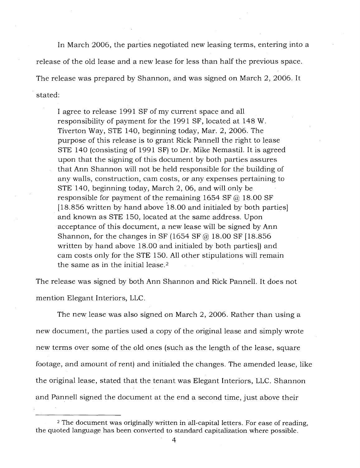In March 2006, the parties negotiated new leasing terms, entering into a release of the old lease and a new lease for less than half the previous space. The release was prepared by Shannon, and was signed on March 2, 2006. It stated:

I agree to release 1991 SF of my current space and all responsibility of payment for the 1991 SF, located at 148 W. Tiverton Way, STE 140, beginning today, Mar. 2, 2006. The purpose of this release is to grant Rick Pannell the right to lease STE 140 (consisting of 1991 SF) to Dr. Mike Nemastil. It is agreed upon that the signing of this document by both parties assures that Ann Shannon will not be held responsible for the building of any walls, construction, cam costs, or any expenses pertaining to STE 140, beginning today, March 2, 06, and will only be responsible for payment of the remaining 1654 SF  $\omega$  18.00 SF [18.856 written by hand above 18.00 and initialed by both parties] and known as STE 150, located at the same address. Upon acceptance of this document, a new lease will be signed by Ann Shannon, for the changes in SF (1654 SF  $\omega$  18.00 SF [18.856] written by hand above 18.00 and initialed by both parties]) and cam costs only for the STE 150. All other stipulations will remain the same as in the initial lease. $2$ 

The release was signed by both Ann Shannon and Rick Pannell. It does not mention Elegant Interiors, LLC.

The new lease was also signed on March 2, 2006. Rather than using a new document, the parties used a copy of the original lease and simply wrote new terms over some of the old ones (such as the length of the lease, square footage, and amount of rent) and initialed the changes. The amended lease, like the original lease, stated that the tenant was Elegant Interiors, LLC. Shannon and Pannell signed the document at the end a second time, just above their

<sup>&</sup>lt;sup>2</sup> The document was originally written in all-capital letters. For ease of reading, the quoted language has been converted to standard capitalization where possible.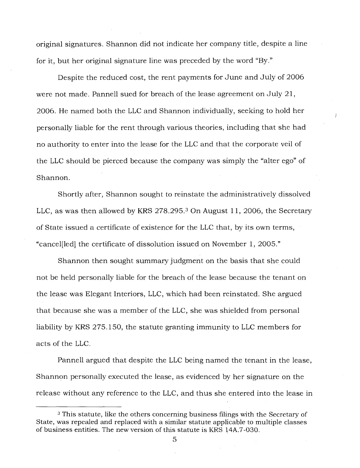original signatures. Shannon did not indicate her company title, despite a line for it, but her original signature line was preceded by the word "By."

Despite the reduced cost, the rent payments for June and July of 2006 were not made. Pannell sued for breach of the lease agreement on July 21, 2006. He named both the LLC and Shannon individually, seeking to hold her personally liable for the rent through various theories, including that she had no authority to enter into the lease for the LLC and that the corporate veil of the LLC should be pierced because the company was simply the "alter ego" of Shannon.

Shortly after, Shannon sought to reinstate the administratively dissolved LLC, as was then allowed by KRS 278.295.<sup>3</sup> On August 11, 2006, the Secretary of State issued a certificate of existence for the LLC that, by its own terms, "cancel[led] the certificate of dissolution issued on November 1, 2005."

Shannon then sought summary judgment on the basis that she could not be held personally liable for the breach of the lease because the tenant on the lease was Elegant Interiors, LLC, which had been reinstated. She argued that because she was a member of the LLC, she was shielded from personal liability by KRS 275.150, the statute granting immunity to LLC members for acts of the LLC.

Pannell argued that despite the LLC being named the tenant in the lease, Shannon personally executed the lease, as evidenced by her signature on the release without any reference to the LLC, and thus she entered into the lease in

<sup>&</sup>lt;sup>3</sup> This statute, like the others concerning business filings with the Secretary of State, was repealed and replaced with a similar statute applicable to multiple classes of business entities. The new version of this statute is KRS 14A.7-030.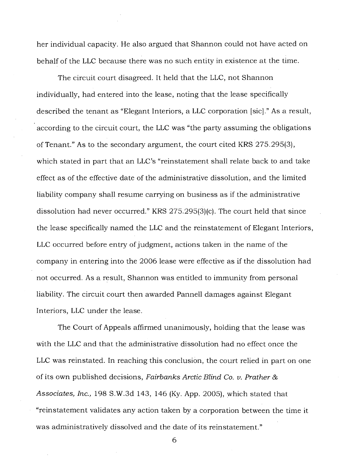her individual capacity. He also argued that Shannon could not have acted on behalf of the LLC because there was no such entity in existence at the time.

The circuit court disagreed. It held that the LLC, not Shannon individually, had entered into the lease, noting that the lease specifically described the tenant as "Elegant Interiors, a LLC corporation [sic]." As a result, according to the circuit court, the LLC was "the party assuming the obligations of Tenant." As to the secondary argument, the court cited KRS 275.295(3), which stated in part that an LLC's "reinstatement shall relate back to and take effect as of the effective date of the administrative dissolution, and the limited liability company shall resume carrying on business as if the administrative dissolution had never occurred." KRS 275.295(3)(c). The court held that since the lease specifically named the LLC and the reinstatement of Elegant Interiors, LLC occurred before entry of judgment, actions taken in the name of the company in entering into the 2006 lease were effective as if the dissolution had not occurred. As a result, Shannon was entitled to immunity from personal liability. The circuit court then awarded Pannell damages against Elegant Interiors, LLC under the lease.

The Court of Appeals affirmed unanimously, holding that the lease was with the LLC and that the administrative dissolution had no effect once the LLC was reinstated. In reaching this conclusion, the court relied in part on one of its own published decisions, *Fairbanks Arctic Blind Co. v. Prather & Associates, Inc.,* 198 S.W.3d 143, 146 (Ky. App. 2005), which stated that "reinstatement validates any action taken by a corporation between the time it was administratively dissolved and the date of its reinstatement."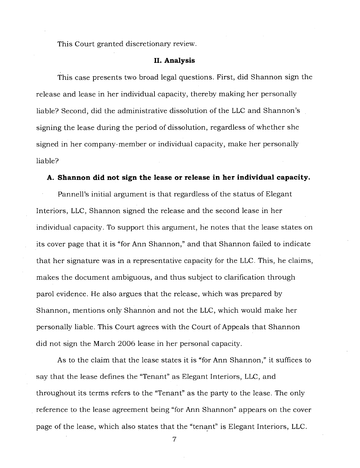This Court granted discretionary review.

#### **II. Analysis**

This case presents two broad legal questions. First, did Shannon sign the release and lease in her individual capacity, thereby making her personally liable? Second, did the administrative dissolution of the LLC and Shannon's signing the lease during the period of dissolution, regardless of whether she signed in her company-member or individual capacity, make her personally liable?

#### **A. Shannon did not sign the lease or release in her individual capacity.**

Pannell's initial argument is that regardless of the status of Elegant Interiors, LLC, Shannon signed the release and the second lease in her individual capacity. To support this argument, he notes that the lease states on its cover page that it is "for Ann Shannon," and that Shannon failed to indicate that her signature was in a representative capacity for the LLC. This, he claims, makes the document ambiguous, and thus subject to clarification through parol evidence. He also argues that the release, which was prepared by Shannon, mentions only Shannon and not the LLC, which would make her personally liable. This Court agrees with the Court of Appeals that Shannon did not sign the March 2006 lease in her personal capacity.

As to the claim that the lease states it is "for Ann Shannon," it suffices to say that the lease defines the "Tenant" as Elegant Interiors, LLC, and throughout its terms refers to the "Tenant" as the party to the lease. The only reference to the lease agreement being "for Ann Shannon" appears on the cover page of the lease, which also states that the "tenant" is Elegant Interiors, LLC.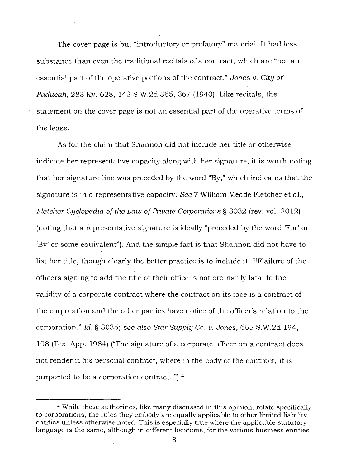The cover page is but "introductory or prefatory" material. It had less substance than even the traditional recitals of a contract, which are "not an essential part of the operative portions of the contract." *Jones v. City of Paducah,* 283 Ky. 628, 142 S.W.2d 365, 367 (1940). Like recitals, the statement on the cover page is not an essential part of the operative terms of the lease.

As for the claim that Shannon did not include her title or otherwise indicate her representative capacity along with her signature, it is worth noting that her signature line was preceded by the word "By," which indicates that the signature is in a representative capacity. *See* 7 William Meade Fletcher et al., *Fletcher Cyclopedia of the Law of Private Corporations §* 3032 (rev. vol. 2012) (noting that a representative signature is ideally "preceded by the word 'For' or `By' or some equivalent"). And the simple fact is that Shannon did not have to list her title, though clearly the better practice is to include it. "[F]ailure of the officers signing to add the title of their office is not ordinarily fatal to the validity of a corporate contract where the contract on its face is a contract of the corporation and the other parties have notice of the officer's relation to the corporation." *Id. §* 3035; *see also Star Supply* Co. v. *Jones,* 665 S.W.2d 194, 198 (Tex. App. 1984) ("The signature of a corporate officer on a contract does not render it his personal contract, where in the body of the contract, it is purported to be a corporation contract. "). <sup>4</sup>

<sup>4</sup>While these authorities, like many discussed in this opinion, relate specifically to corporations, the rules they embody are equally applicable to other limited liability entities unless otherwise noted. This is especially true where the applicable statutory language is the same, although in different locations, for the various business entities.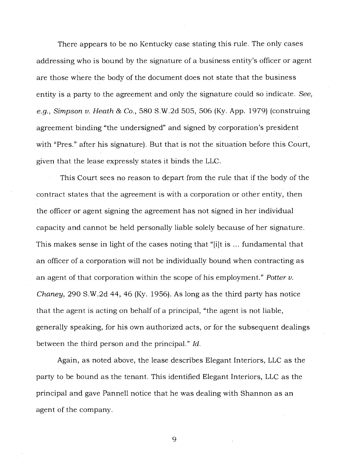There appears to be no. Kentucky case stating this rule. The only cases addressing who is bound by the signature of a business entity's officer or agent are those where the body of the document does not state that the business entity is a party to the agreement and only the signature could so indicate. *See, e.g., Simpson v. Heath & Co.,* 580 S.W.2d 505, 506 (Ky. App. 1979) (construing agreement binding "the undersigned" and signed by corporation's president with "Pres." after his signature). But that is not the situation before this Court, given that the lease expressly states it binds the LLC.

This Court sees no reason to depart from the rule that if the body of the contract states that the agreement is with a corporation or other entity, then the officer or agent signing the agreement has not signed in her individual capacity and cannot be held personally liable solely because of her signature. This makes sense in light of the cases noting that "[i]t is ... fundamental that an officer of a corporation will not be individually bound when contracting as an agent of that corporation within the scope of his employment." *Potter v. Chaney,* 290 S.W.2d 44, 46 (Ky. 1956). As long as the third party has notice that the agent is acting on behalf of a principal, "the agent is not liable, generally speaking, for his own authorized acts, or for the subsequent dealings between the third person and the principal." *Id.* 

Again, as noted above, the lease describes Elegant Interiors, LLC as the party to be bound as the tenant. This identified Elegant Interiors, LLC as the principal and gave Pannell notice that he was dealing with Shannon as an agent of the company.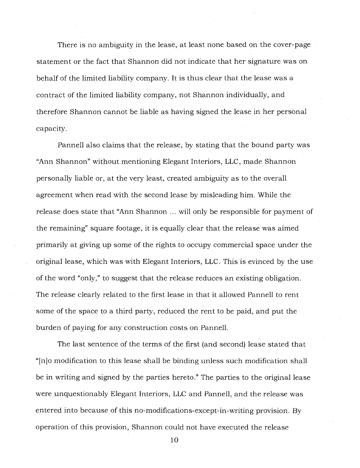There is no ambiguity in the lease, at least none based on the cover-page statement or the fact that Shannon did not indicate that her signature was on behalf of the limited liability company. It is thus clear that the lease was a contract of the limited liability company, not Shannon individually, and therefore Shannon cannot be liable as having signed the lease in her personal capacity.

Pannell also claims that the release, by stating that the bound party was "Ann Shannon" without mentioning Elegant Interiors, LLC, made Shannon personally liable or, at the very least, created ambiguity as to the overall agreement when read with the second lease by misleading him. While the release does state that "Ann Shannon ... will only be responsible for payment of the remaining" square footage, it is equally clear that the release was aimed primarily at giving up some of the rights to occupy commercial space under the original lease, which was with Elegant Interiors, LLC. This is evinced by the use of the word "only," to suggest that the release reduces an existing obligation. The release clearly related to the first lease in that it allowed Pannell to rent some of the space to a third party, reduced the rent to be paid, and put the burden of paying for any construction costs on Pannell.

The last sentence of the terms of the first (and second) lease stated that "[n]o modification to this lease shall be binding unless such modification shall be in writing and signed by the parties hereto." The parties to the original lease were unquestionably Elegant Interiors, LLC and Pannell, and the release was entered into because of this no-modifications-except-in-writing provision. By operation of this provision, Shannon could not have executed the release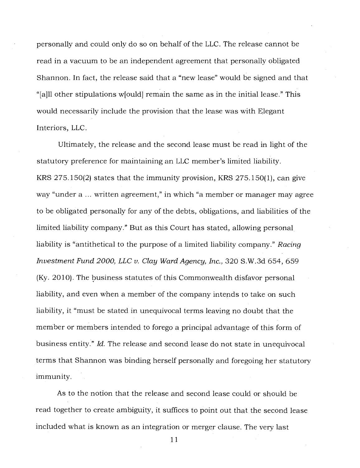personally and could only do so on behalf of the LLC. The release cannot be read in a vacuum to be an independent agreement that personally obligated Shannon. In fact, the release said that a "new lease" would be signed and that "[a]1l other stipulations w[ould] remain the same as in the initial lease." This would necessarily include the provision that the lease was with Elegant Interiors, LLC.

Ultimately, the release and the second lease must be read in light of the statutory preference for maintaining an LLC member's limited liability. KRS 275.150(2) states that the immunity provision, KRS 275.150(1), can give way "under a ... written agreement," in which "a member or manager may agree to be obligated personally for any of the debts, obligations, and liabilities of the limited liability company." But as this Court has stated, allowing personal liability is "antithetical to the purpose of a limited liability company." *Racing Investment Fund 2000, LLC v. Clay Ward Agency, Inc.,* 320 S.W.3d 654, 659 (Ky. 2010). The business statutes of this Commonwealth disfavor personal liability, and even when a member of the company intends to take on such liability, it "must be stated in unequivocal terms leaving no doubt that the member or members intended to forego a principal advantage of this form of business entity." *Id.* The release and second lease do not state in unequivocal terms that Shannon was binding herself personally and foregoing her statutory immunity.

As to the notion that the release and second lease could or should be read together to create ambiguity, it suffices to point out that the second lease included what is known as an integration or merger clause. The very last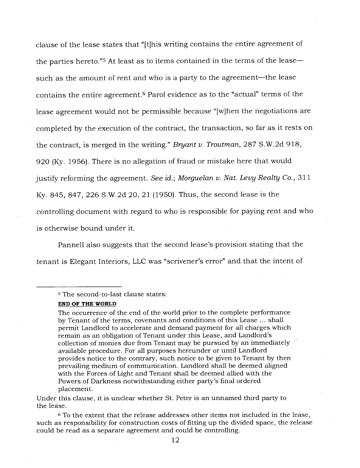clause of the lease states that "[t]his writing contains the entire agreement of the parties hereto."<sup>5</sup> At least as to items contained in the terms of the lease such as the amount of rent and who is a party to the agreement—the lease contains the entire agreement.<sup>6</sup> Parol evidence as to the "actual" terms of the lease agreement would not be permissible because "[w]hen the negotiations are completed by the execution of the contract, the transaction, so far as it rests on the contract, is merged in the writing." *Bryant v. Troutman,* 287 S.W.2d 918, 920 (Ky. 1956). There is no allegation of fraud or mistake here that would justify reforming the agreement. *See id.; Morguelan v. Nat. Levy Realty Co.,* 311 Ky. 845, 847, 226 S.W.2d 20, 21 (1950). Thus, the second lease is the controlling document with regard to who is responsible for paying rent and who is otherwise bound under it.

Pannell also suggests that the second lease's provision stating that the tenant is Elegant Interiors, LLC was "scrivener's error" and that the intent of

<sup>5</sup>The second-to-last clause states:

#### **END OF THE WORLD**

The occurrence of the end of the world prior to the complete performance by Tenant of the terms, covenants and conditions of this Lease ... shall permit Landlord to accelerate and demand payment for all charges which remain as an obligation of Tenant under this Lease, and Landlord's collection of monies due from Tenant may be pursued by an immediately  $\sqrt{ }$ available procedure. For all purposes hereunder or until Landlord provides notice to the contrary, such notice to be given to Tenant by then prevailing medium of communication. Landlord shall be deemed aligned with the Forces of Light and Tenant shall be deemed allied with the Powers of Darkness notwithstanding either party's final ordered placement.

Under this clause, it is unclear whether St. Peter is an unnamed third party to the lease.

<sup>6</sup>To the extent that the release addresses other items not included in the lease, such as responsibility for construction costs of fitting up the divided space, the release could be read as a separate agreement and could be controlling.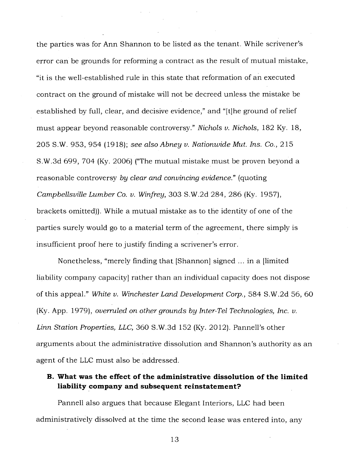the parties was for Ann Shannon to be listed as the tenant. While scrivener's error can be grounds for reforming a contract as the result of mutual mistake, "it is the well-established rule in this state that reformation of an executed contract on the ground of mistake will not be decreed unless the mistake be established by full, clear, and decisive evidence," and "[t]he ground of relief must appear beyond reasonable controversy." *Nichols v. Nichols,* 182 Ky. 18, 205 S.W. 953, 954 (1918); *see also Abney v. Nationwide Mut. Ins. Co.,* 215 S.W.3d 699, 704 (Ky. 2006) ("The mutual mistake must be proven beyond a reasonable controversy *by clear and convincing evidence."* (quoting *Campbellsville Lumber Co. v. Winfrey,* 303 S.W.2d 284, 286 (Ky. 1957), brackets omitted)). While a mutual mistake as to the identity of one of the parties surely would go to a material term of the agreement, there simply is insufficient proof here to justify finding a scrivener's error.

Nonetheless, "merely finding that. [Shannon] signed ... in a [limited liability company capacity] rather than an individual capacity does not dispose of this appeal." *White v. Winchester Land Development Corp.,* 584 S.W.2d 56, 60 (Ky. App. 1979), *overruled on other grounds by Inter-Tel Technologies, Inc. v. Linn Station Properties, LLC,* 360 S.W.3d 152 (Ky. 2012). Pannell's other arguments about the administrative dissolution and Shannon's authority as an agent of the LLC must also be addressed.

## **B. What was the effect of the administrative dissolution of the limited liability company and subsequent reinstatement?**

Pannell also argues that because Elegant Interiors, LLC had been administratively dissolved at the time the second lease was entered into, any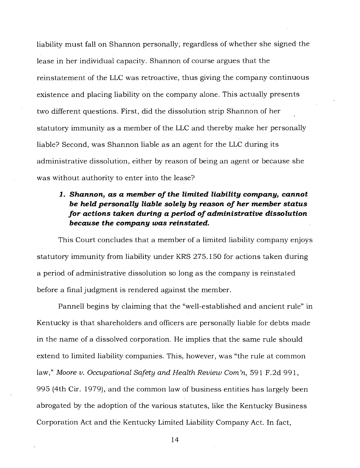liability must fall on Shannon personally; regardless of whether she signed the lease in her individual capacity. Shannon of course argues that the reinstatement of the LLC was retroactive, thus giving the company continuous existence and placing liability on the company alone. This actually presents two different questions. First, did the dissolution strip Shannon of her statutory immunity as a member of the LLC and thereby make her personally liable? Second, was Shannon liable as an agent for the LLC during its administrative dissolution, either by reason of being an agent or because she was without authority to enter into the lease?

# *1. Shannon, as a member of the limited liability company, cannot be held personally liable solely by reason of her member status for actions taken during a period of administrative dissolution because the company was reinstated.*

This Court concludes that a member of a limited liability company enjoys statutory immunity from liability under KRS 275.150 for actions taken during a period of administrative dissolution so long as the company is reinstated before a final judgment is rendered against the member.

Pannell begins by claiming that the "well-established and ancient rule" in Kentucky is that shareholders and officers are personally liable for debts made in the name of a dissolved corporation. He implies that the same rule should extend to limited liability companies. This, however, was "the rule at common law," Moore v. Occupational Safety and Health Review Com'n, 591 F.2d 991, 995 (4th Cir. 1979), and the common law of business entities has largely been abrogated by the adoption of the various statutes, like the Kentucky Business Corporation Act and the Kentucky Limited Liability Company Act. In fact,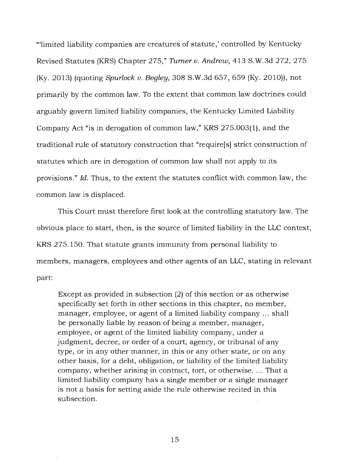"'limited liability companies are creatures of statute,' controlled by Kentucky Revised Statutes (KRS) Chapter 275," *Turner v. Andrew,* 413 S.W.3d 272, 275 (Ky. 2013) (quoting *Spurlock v. Begley,* 308 S.W.3d 657, 659 (Ky. 2010)), not primarily by the common law. To the extent that common law doctrines could arguably govern limited liability companies, the Kentucky Limited Liability Company Act "is in derogation of common law," KRS 275.003(1), and the traditional rule of statutory construction that "require[s] strict construction of statutes which are in derogation of common law shall not apply to its provisions." *Id.* Thus, to the extent the statutes conflict with common law, the common law is displaced.

This Court must therefore first look at the controlling statutory law. The obvious place to start, then, is the source of limited liability in the LLC context, KRS 275.150. That statute grants immunity from personal liability to members, managers, employees and other agents of an LLC, stating in relevant part:

Except as provided in subsection (2) of this section or as otherwise specifically set forth in other sections in this chapter, no member, manager, employee, or agent of a limited liability company ... shall be personally liable by reason of being a member, manager, employee, or agent of the limited liability company, under a judgment, decree, or order of a court, agency, or tribunal of any type, or in any other manner, in this or any other state, or on any other basis, for a debt, obligation, or liability of the limited liability company, whether arising in contract, tort, or otherwise. ... That a limited liability company has a single member or a single manager is not a basis for setting aside the rule otherwise recited in this subsection.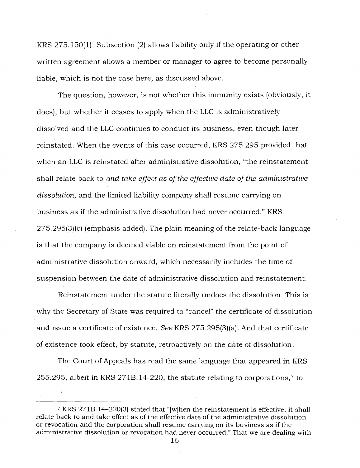KRS 275.150(1). Subsection (2) allows liability only if the operating or other written agreement allows a member or manager to agree to become personally liable, which is not the case here, as discussed above.

The question, however, is not whether this immunity exists (obviously, it does), but whether it ceases to apply when the LLC is administratively dissolved and the LLC continues to conduct its business, even though later reinstated. When the events of this case occurred, KRS 275.295 provided that when an LLC is reinstated after administrative dissolution, "the reinstatement shall relate back to *and take effect as of the effective date of the administrative dissolution,* and the limited liability company shall resume carrying on business as if the administrative dissolution had never occurred." KRS 275.295(3)(c) (emphasis added). The plain meaning of the relate-back language is that the company is deemed viable on reinstatement from the point of administrative dissolution onward, which necessarily includes the time of suspension between the date of administrative dissolution and reinstatement.

Reinstatement under the statute literally undoes the dissolution. This is why the Secretary of State was required to "cancel" the certificate of dissolution and issue a certificate of existence. *See* KRS 275.295(3)(a). And that certificate of existence took effect, by statute, retroactively on the date of dissolution.

The Court of Appeals has read the same language that appeared in KRS 255.295, albeit in KRS 2718.14-220, the statute relating to corporations,? to

<sup>7</sup>KRS 271B.14-220(3) stated that "[w]hen the reinstatement is effective, it shall relate back to and take effect as of the effective date of the administrative dissolution or revocation and the corporation shall resume carrying on its business as if the administrative dissolution or revocation had never occurred." That we are dealing with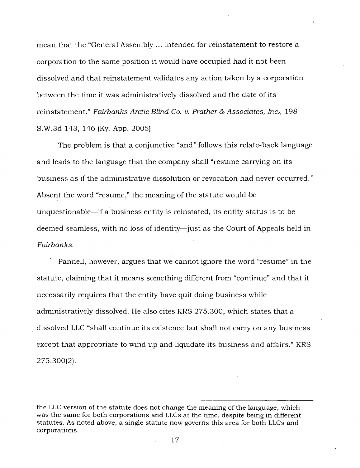mean that the "General Assembly ... intended for reinstatement to restore a corporation to the same position it would have occupied had it not been dissolved and that reinstatement validates any action taken by a corporation between the time it was administratively dissolved and the date of its reinstatement." *Fairbanks Arctic Blind Co. v. Prather & Associates, Inc.,* 198 S.W.3d 143, 146 (Ky. App. 2005).

The problem is that a conjunctive "and" follows this relate-back language and leads to the language that the company shall "resume carrying on its business as if the administrative dissolution or revocation had never occurred." Absent the word "resume," the meaning of the statute would be unquestionable—if a business entity is reinstated, its entity status is to be deemed seamless, with no loss of identity—just as the Court of Appeals held in *Fairbanks.* 

Pannell, however, argues that we cannot ignore the word "resume" in the statute, claiming that it means something different from "continue" and that it necessarily requires that the entity have quit doing business while administratively dissolved. He also cites KRS 275.300, which states that a dissolved LLC "shall continue its existence but shall not carry on any business except that appropriate to wind up and liquidate its business and affairs." KRS 275.300(2).

the LLC version of the statute does not change the meaning of the language, which was the same for both corporations and LLCs at the time, despite being in different statutes. As noted above, a single statute now governs this area for both LLCs and corporations.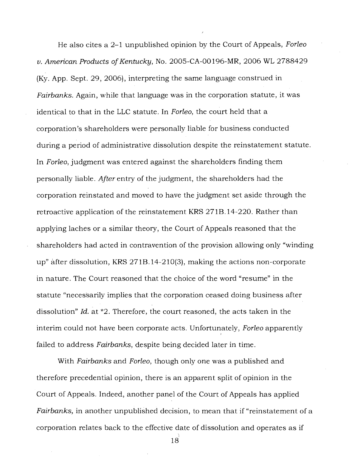He also cites a 2-1 unpublished opinion by the Court of Appeals, *Forleo v. American Products of Kentucky,* No. 2005-CA-00196-MR, 2006 WL 2788429 (Ky. App. Sept. 29, 2006), interpreting the same language construed in *Fairbanks.* Again, while that language was in the corporation statute, it was identical to that in the LLC statute. In *Forleo,* the court held that a corporation's shareholders were personally liable for business conducted during a period of administrative dissolution despite the reinstatement statute. In *Forleo,* judgment was entered against the shareholders finding them personally liable. *After* entry of the judgment, the shareholders had the corporation reinstated and moved to have the judgment set aside through the retroactive application of the reinstatement KRS 271B.14-220. Rather than applying laches or a similar theory, the Court of Appeals reasoned that the shareholders had acted in contravention of the provision allowing only "winding up" after dissolution, KRS 271B.14-210(3), making the actions non-corporate in nature. The Court reasoned that the choice of the word "resume" in the statute "necessarily implies that the corporation ceased doing business after dissolution" *Id.* at \*2. Therefore, the court reasoned, the acts taken in the interim could not have been corporate acts. Unfortunately, *Forleo* apparently failed to address *Fairbanks,* despite being decided later in time.

With *Fairbanks* and *Forleo,* though only one was a published and therefore precedential opinion, there is an apparent split of opinion in the Court of Appeals. Indeed, another panel of the Court of Appeals has applied *Fairbanks,* in another unpublished decision, to mean that if "reinstatement of a corporation relates back to the effective date of dissolution and operates as if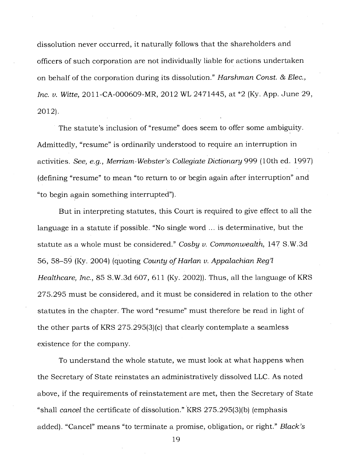dissolution never occurred, it naturally follows that the shareholders and officers of such corporation are not individually liable for actions undertaken on behalf of the corporation during its dissolution." *Harshman Const. & Elec., Inc. v. Witte,* 2011-CA-000609-MR, 2012 WL 2471445, at \*2 (Ky. App. June 29, 2012).

The statute's inclusion of "resume" does seem to offer some ambiguity. Admittedly, "resume" is ordinarily understood to require an interruption in activities. *See, e.g., Merriam-Webster's Collegiate Dictionary* 999 (10th ed. 1997) (defining "resume" to mean "to return to or begin again after interruption" and "to begin again something interrupted").

But in interpreting statutes, this Court is required to give effect to all the language in a statute if possible. "No single word ... is determinative, but the statute as a whole must be considered." *Cosby v. Commonwealth,* 147 S.W.3d 56, 58-59 (Ky. 2004) (quoting *County of Harlan v. Appalachian Reg'l Healthcare, Inc.,* 85 S.W.3d 607, 611 (Ky. 2002)). Thus, all the language of KRS 275.295 must be considered, and it must be considered in relation to the other statutes in the chapter. The word "resume" must therefore be read in light of the other parts of KRS 275.295(3)(c) that clearly contemplate a seamless existence for the company.

To understand the whole statute, we must look at what happens when the Secretary of State reinstates an administratively dissolved LLC. As noted above, if the requirements of reinstatement are met, then the Secretary of State "shall *cancel* the certificate of dissolution." 'KRS 275.295(3)(b) (emphasis added). "Cancel" means "to terminate a promise, obligation, or right." *Black's*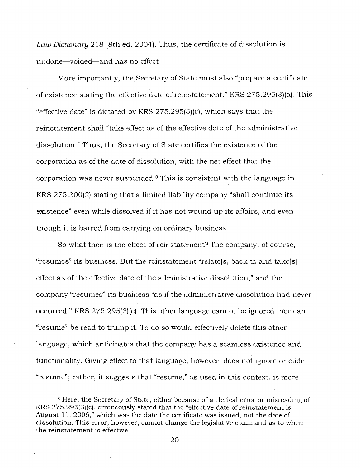*Law Dictionary* 218 (8th ed. 2004). Thus, the certificate of dissolution is undone—voided—and has no effect.

More importantly, the Secretary of State must also "prepare a certificate of existence stating the effective date of reinstatement." KRS 275.295(3)(a). This "effective date" is dictated by KRS 275.295(3)(c), which says that the reinstatement shall "take effect as of the effective date of the administrative dissolution." Thus, the Secretary of State certifies the existence of the corporation as of the date of dissolution, with the net effect that the corporation was never suspended. 8This is consistent with the language in KRS 275.300(2) stating that a limited liability company "shall continue its existence" even while dissolved if it has not wound up its affairs, and even though it is barred from carrying on ordinary business.

So what then is the effect of reinstatement? The company, of course, "resumes" its business. But the reinstatement "relate[s] back to and take[s] effect as of the effective date of the administrative dissolution," and the company "resumes" its business "as if the administrative dissolution had never occurred." KRS 275.295(3)(c). This other language cannot be ignored, nor can "resume" be read to trump it. To do so would effectively delete this other language, which anticipates that the company has a seamless existence and functionality. Giving effect to that language, however, does not ignore or elide "resume"; rather, it suggests that "resume," as used in this context, is more

<sup>8</sup>Here, the Secretary of State, either because of a clerical error or misreading of KRS 275.295(3)(c), erroneously stated that the "effective date of reinstatement is August 11, 2006," which was the date the certificate was issued, not the date of dissolution. This error, however, cannot change the legislative command as to when the reinstatement is effective.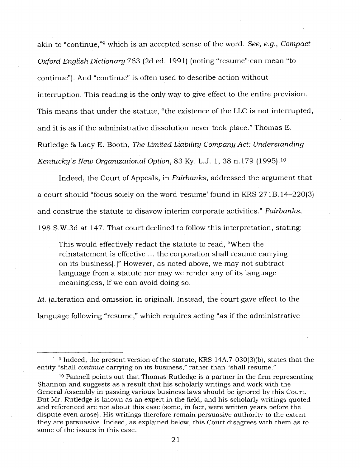akin to "continue,"<sup>9</sup> which is an accepted sense of the word. *See, e.g., Compact Oxford English Dictionary* 763 (2d ed. 1991) (noting "resume" can mean "to continue"). And "continue" is often used to describe action without interruption. This reading is the only way to give effect to the entire provision. This means that under the statute, "the existence of the LLC is not interrupted, and it is as if the administrative dissolution never took place." Thomas E. Rutledge 86 Lady E. Booth, *The Limited Liability Company Act: Understanding Kentucky's New Organizational Option, 83 Ky. L.J. 1, 38 n.179 (1995).*<sup>10</sup>

Indeed, the Court of Appeals, in *Fairbanks,* addressed the argument that a court should "focus solely on the word 'resume' found in KRS 271B.14-220(3) and construe the statute to disavow interim corporate activities." *Fairbanks,*  198 S.W.3d at 147. That court declined to follow this interpretation, stating:

This would effectively redact the statute to read, "When the reinstatement is effective ... the corporation shall resume carrying on its business[.]" However, as noted above, we may not subtract language from a statute nor may we render any of its language meaningless, if we can avoid doing so.

Id. (alteration and omission in original). Instead, the court gave effect to the language following "resume," which requires acting "as if the administrative

<sup>9</sup>Indeed, the present version of the statute, KRS 14A.7-030(3)(b), states that the entity "shall *continue* carrying on its business," rather than "shall resume."

<sup>&</sup>lt;sup>10</sup> Pannell points out that Thomas Rutledge is a partner in the firm representing Shannon and suggests as a result that his scholarly writings and work with the General Assembly in passing various business laws should be ignored by this Court. But Mr. Rutledge is known as an expert in the field, and his scholarly writings quoted and referenced are not about this case (some, in fact, were written years before the dispute even arose). His writings therefore remain persuasive authority to the extent they are persuasive. Indeed, as explained below, this Court disagrees with them as to some of the issues in this case.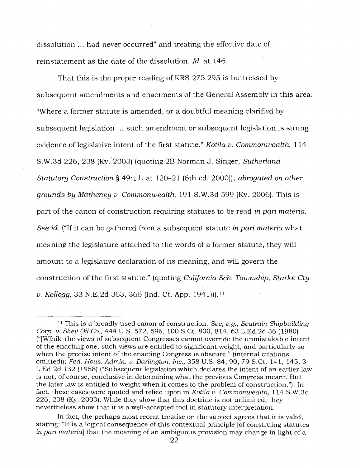dissolution ... had never occurred" and treating the effective date of reinstatement as the date of the dissolution. *Id.* at 146.

That this is the proper reading of KRS 275.295 is buttressed by subsequent amendments and enactments of the General Assembly in this area. "Where a former statute is amended, or a doubtful meaning clarified by subsequent legislation ... such amendment or subsequent legislation is strong evidence of legislative intent of the first statute." *Kotila v. Commonwealth,* 114 S.W.3d 226, 238 (Ky. 2003) (quoting 2B Norman J. Singer, *Sutherland Statutory Construction §* 49:11, at 120-21 (6th ed. 2000)), *abrogated on other grounds by Matheney v. Commonwealth,* 191 S.W.3d 599 (Ky. 2006). This is part of the canon of construction requiring statutes to be read *in pari materia. See id.* ("If it can be gathered from a subsequent statute *in pari materia* what meaning the legislature attached to the words of a former statute, they will amount to a legislative declaration of its meaning, and will govern the construction of the first statute." (quoting *California Sch. Township, Starke Cty. v. Kellogg,* 33 N.E.2d 363, 366 (Ind. Ct. App. 1941))). <sup>11</sup>

<sup>11</sup>This is a broadly used canon of construction. *See, e.g., Seatrain Shipbuilding Corp. v. Shell Oil Co.,* 444 U.S. 572, 596, 100 S.Ct. 800, 814, 63 L.Ed.2d 36 (1980) ("[W]hile the views of subsequent Congresses cannot override the unmistakable intent of the enacting one, such views are entitled to significant weight, and particularly so when the precise intent of the enacting Congress is obscure." (internal citations omitted)); *Fed. Hous. Admin. v. Darlington, Inc.,* 358 U.S. 84, 90, 79 S.Ct. 141, 145, 3 L.Ed.2d 132 (1958) ("Subsequent legislation which declares the intent of an earlier law is not, of course, conclusive in determining what the previous Congress meant. But the later law is entitled to weight when it comes to the problem of construction."). In fact, these cases were quoted and relied upon in *Kotila v. Commonwealth,* 114 S.W.3d 226, 238 (Ky. 2003). While they show that this doctrine is not unlimited, they nevertheless show that it is a well-accepted tool in statutory interpretation.

In fact, the perhaps most recent treatise on the subject agrees that it is valid, stating: "It is a logical consequence of this contextual principle [of construing statutes *in pari materia]* that the meaning of an ambiguous provision may change in light of a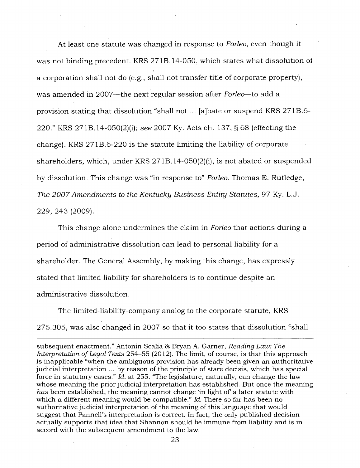At least one statute was changed in response to *Forleo,* even though it was not binding precedent. KRS 271B.14-050, which states what dissolution of a corporation shall not do (e.g., shall not transfer title of corporate property), was amended in 2007—the next regular session after *Forleo—to* add a provision stating that dissolution "shall not ... [a]bate or suspend KRS 271B.6- 220." KRS 271B.14-050(2)(i); *see* 2007 Ky. Acts ch. 137, § 68 (effecting the change). KRS 271B.6-220 is the statute limiting the liability of corporate shareholders, which, under KRS 271B.14-050(2)(i), is not abated or suspended by dissolution. This change was "in response to" *Forleo.* Thomas E. Rutledge, *The 2007 Amendments to the Kentucky Business Entity Statutes,* 97 Ky. L.J. 229, 243 (2009).

This change alone undermines the claim in *Forleo* that actions during a period of administrative dissolution can lead to personal liability for a shareholder. The General Assembly, by making this change, has expressly stated that limited liability for shareholders is to continue despite an administrative dissolution.

The limited-liability-company analog to the corporate statute, KRS 275.305, was also changed in 2007 so that it too states that dissolution "shall

subsequent enactment." Antonin Scalia & Bryan A. Garner, *Reading Law: The Interpretation of Legal Texts* 254-55 (2012). The limit, of course, is that this approach is inapplicable "when the ambiguous provision has already been given an authoritative judicial interpretation ... by reason of the principle of stare decisis, which has special force in statutory cases." *Id.* at 255. "The legislature, naturally, can change the law whose meaning the prior judicial interpretation has established. But once the meaning *has* been established, the meaning cannot change 'in light of' a later statute with which a different meaning would be compatible." *Id.* There so far has been no authoritative judicial interpretation of the meaning of this language that would suggest that, Pannell's interpretation is correct. In fact, the only published decision actually supports that idea that Shannon should be immune from liability and is in accord with the subsequent amendment to the law.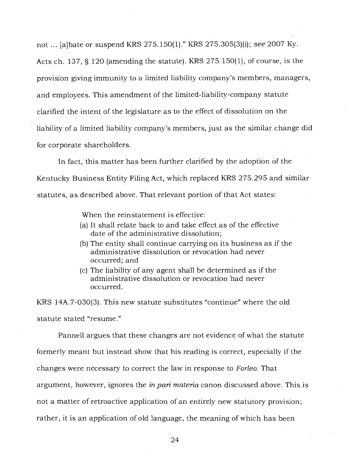not ... [a]bate or suspend KRS 275.150(1)." KRS 275.305(3)(i); *see* 2007 Ky. Acts ch. 137, § 120 (amending the statute). KRS 275.150(1), of course, is the provision giving immunity to a limited liability company's members, managers, and employees. This amendment of the limited-liability-company statute clarified the intent of the legislature as to the effect of dissolution on the liability of a limited liability company's members, just as the similar change did for corpòrate shareholders.

In fact, this matter has been further clarified by the adoption of the Kentucky Business Entity Filing Act, which replaced KRS 275.295 and similar statutes, as described above. That relevant portion of that Act states:

When the reinstatement is effective:

- (a) It shall relate back to and take effect as of the effective date of the administrative dissolution;
- (b) The entity shall continue carrying on its business as if the administrative dissolution or revocation had never occurred; and
- (c) The liability of any agent shall be determined as if the administrative dissolution or revocation had never occurred.

KRS 14A.7-030(3). This new statute substitutes "continue" where the old statute stated "resume."

Pannell argues that these changes are not evidence of what the statute formerly meant but instead show that his reading is correct, especially if the changes were necessary to correct the law in response to *Forleo.* That argument, however, ignores the *in pari materia* canon discussed above. This is not a matter of retroactive application of an entirely new statutory provision; rather, it is an application of old language, the meaning of which has been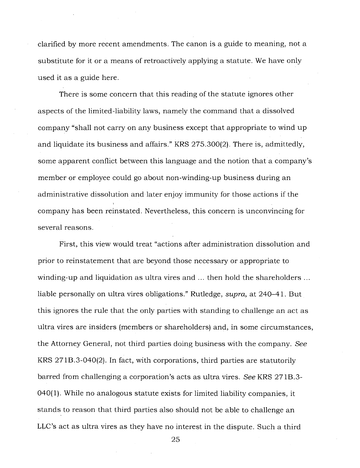clarified by more recent amendments. The canon is a guide to meaning, not a substitute for it or a means of retroactively applying a statute. We have only used it as a guide here.

There is some concern that this reading of the statute ignores other aspects of the limited-liability laws, namely the command that a dissolved company "shall not carry on any business except that appropriate to wind up and liquidate its business and affairs." KRS 275.300(2). There is, admittedly, some apparent conflict between this language and the notion that a company's member or employee could go about non-winding-up business during an administrative dissolution and later enjoy immunity for those actions if the company has been reinstated. Nevertheless, this concern is unconvincing for several reasons.

First, this view would treat "actions after administration dissolution and prior to reinstatement that are beyond those necessary or appropriate to winding-up and liquidation as ultra vires and ... then hold the shareholders ... liable personally on ultra vires obligations." Rutledge, *supra,* at 240-41. But this ignores the rule that the only parties with standing to challenge an act as ultra vires are insiders (members or shareholders) and, in some circumstances, the Attorney General, not third parties doing business with the company. *See*  KRS 271B.3-040(2). In fact, with corporations, third parties are statutorily barred from challenging a corporation's acts as ultra vires. *See* KRS 271B.3- 040(1). While no analogous statute exists for limited liability companies, it stands to reason that third parties also should not be able to challenge an LLC's act as ultra vires as they have no interest in the dispute. Such a third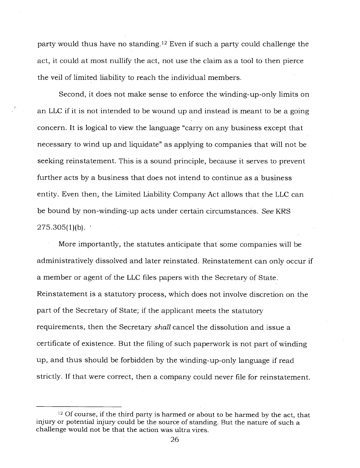party would thus have no standing.<sup>12</sup> Even if such a party could challenge the act, it could at most nullify the act, not use the claim as a tool to then pierce the veil of limited liability to reach the individual members.

Second, it does not make sense to enforce the winding-up-only limits on an LLC if it is not intended to be wound up and instead is meant to be a going concern. It is logical to view the language "carry on any business except that necessary to wind up and liquidate" as applying to companies that will not be seeking reinstatement. This is a sound principle, because it serves to prevent further acts by a business that does not intend to continue as a business entity. Even then, the Limited Liability Company Act allows that the LLC can be bound by non-winding-up acts under certain circumstances. *See* KRS  $275.305(1)(b)$ .

More importantly, the statutes anticipate that some companies will be administratively dissolved and later reinstated. Reinstatement can only occur if a member or agent of the LLC files papers with the Secretary of State. Reinstatement is a statutory process, which does not involve discretion on the part of the Secretary of State; if the applicant meets the statutory requirements, then the Secretary *shall* cancel the dissolution and issue a certificate of existence. But the filing of such paperwork is not part of winding up, and thus should be forbidden by the winding-up-only language if read strictly. If that were correct, then a company could never file for reinstatement.

<sup>&</sup>lt;sup>12</sup> Of course, if the third party is harmed or about to be harmed by the act, that injury or potential injury could be the source of standing. But the nature of such a challenge would not be that the action was ultra vires.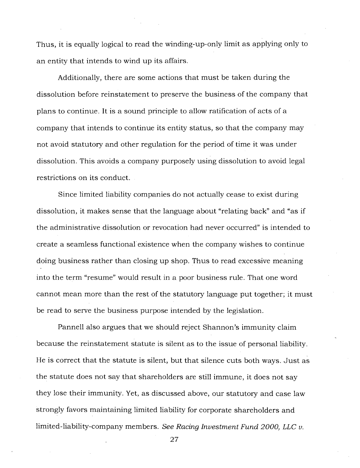Thus, it is equally logical to read the winding-up-only limit as applying only to an entity that intends to wind up its affairs.

Additionally, there are some actions that must be taken during the dissolution before reinstatement to preserve the business of the company that plans to continue. It is a sound principle to allow ratification of acts of a company that intends to continue its entity status, so that the company may not avoid statutory and other regulation for the period of time it was under dissolution. This avoids a company purposely using dissolution to avoid legal restrictions on its conduct.

Since limited liability companies do not actually cease to exist during dissolution, it makes sense that the language about "relating back" and "as if the administrative dissolution or revocation had never occurred" is intended to create a seamless functional existence when the company wishes to continue doing business rather than closing up shop. Thus to read excessive meaning into the term "resume" would result in a poor business rule. That one word cannot mean more than the rest of the statutory language put together; it must be read to serve the business purpose intended by the legislation.

Pannell also argues that we should reject Shannon's immunity claim because the reinstatement statute is silent as to the issue of personal liability. He is correct that the statute is silent, but that silence cuts both ways. Just as the statute does not say that shareholders are still immune, it does not say they lose their immunity. Yet, as discussed above, our statutory and case law strongly favors maintaining limited liability for corporate shareholders and limited-liability-company members. *See Racing Investment Fund 2000, LLC v.*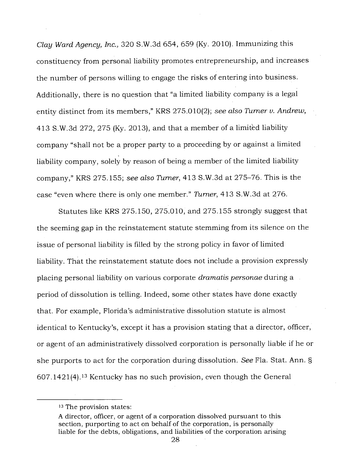*Clay Ward Agency, Inc.,* 320 S.W.3d 654, 659 (Ky. 2010). Immunizing this constituency from personal liability promotes entrepreneurship, and increases the number of persons willing to engage the risks of entering into business. Additionally, there is no question that "a limited liability company is a legal entity distinct from its members," KRS 275.010(2); *see also Turner v. Andrew,*  413 S.W.3d 272, 275 (Ky. 2013), and that a member of a limited liability company "shall not be a proper party to a proceeding by or against a limited liability company, solely by reason of being a member of the limited liability company," KRS 275.155; *see also Turner,* 413 S.W.3d at 275-76. This is the case "even where there is only one member." *Turner,* 413 S.W.3d at 276.

Statutes like KRS 275.150, 275.010, and 275.155 strongly suggest that the seeming gap in the reinstatement statute stemming from its silence on the issue of personal liability is filled by the strong policy in favor of limited liability. That the reinstatement statute does not include a provision expressly placing personal liability on various corporate *dramatis personae* during a period of dissolution is telling. Indeed, some other states have done exactly that. For example, Florida's administrative dissolution statute is almost identical to Kentucky's, except it has a provision stating that a director, officer, or agent of an administratively dissolved corporation is personally liable if he or she purports to act for the corporation during dissolution. *See* Fla. Stat. Ann. §  $607.1421(4).$  13 Kentucky has no such provision, even though the General

<sup>&</sup>lt;sup>13</sup> The provision states:

A director, officer, or agent of a corporation dissolved pursuant to this section, purporting to act on behalf of the corporation, is personally liable for the debts, obligations, and liabilities of the corporation arising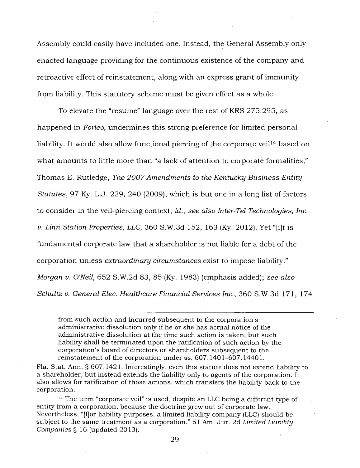Assembly could easily have included one. Instead, the General Assembly only enacted language providing for the continuous existence of the company and retroactive effect of reinstatement, along with an express grant of immunity from liability. This statutory scheme must be given effect as a whole.

To elevate the "resume" language over the rest of KRS 275.295, as happened in *Forleo,* undermines this strong preference for limited personal liability. It would also allow functional piercing of the corporate veil<sup>14</sup> based on what amounts to little more than "a lack of attention to corporate formalities," Thomas E. Rutledge, *The 2007 Amendments to the Kentucky Business Entity Statutes,* 97 Ky. L.J. 229, 240 (2009), which is but one in a long list of factors to consider in the veil-piercing context, *id.; see also Inter-Tel Technologies, Inc. v. Linn Station Properties, LLC,* 360 S.W.3d 152, 163 (Ky. 2012). Yet "[i]t is fundamental corporate law that a shareholder is not liable for a debt of the corporation unless *extraordinary circumstances* exist to impose liability." *Morgan v. O'Neil,* 652 S.W.2d 83, 85 (Ky. 1983) (emphasis added); *see also Schultz v. General Elec. Healthcare Financial Services Inc.,* 360 S.W.3d 171, 174

from such action and incurred subsequent to the corporation's administrative dissolution only if he or she has actual notice of the administrative dissolution at the time such action is taken; but such liability shall be terminated upon the ratification of such action by the corporation's board of directors or shareholders subsequent to the reinstatement of the corporation under ss. 607.1401-607.14401.

Fla. Stat. Ann. § 607.1421. Interestingly, even this statute does not extend liability to a shareholder, but instead extends the liability only to agents of the corporation. It also allows for ratification of those actions, which transfers the liability back to the corporation.

<sup>14</sup> The term "corporate veil" is used, despite an LLC being a different type of entity from a corporation, because the doctrine grew out of corporate law. Nevertheless, "[flor liability purposes, a limited liability company (LLC) should be subject to the same treatment as a corporation." 51 Am. Jur. 2d *Limited Liability Companies §* 16 (updated 2013).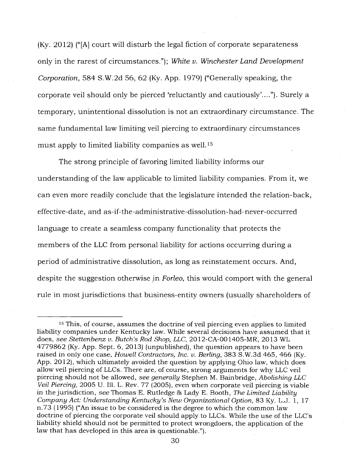(Ky. 2012) ("[A] court will disturb the legal fiction of corporate separateness only in the rarest of circumstances."); *White v. Winchester Land Development Corporation,* 584 S.W.2d 56, 62 (Ky. App. 1979) ("Generally speaking, the corporate veil should only be pierced 'reluctantly and cautiously'...."). Surely a temporary, unintentional dissolution is not an extraordinary circumstance. The same fundamental law limiting veil piercing to extraordinary circumstances must apply to limited liability companies as well.<sup>15</sup>

The strong principle of favoring limited liability informs our understanding of the law applicable to limited liability companies. From it, we can even more readily conclude that the legislature intended the relation-back, effective-date, and as-if-the-administrative-dissolution-had-never-occurred language to create a seamless company functionality that protects the members of the LLC from personal liability for actions occurring during a period of administrative dissolution, as long as reinstatement occurs. And, despite the suggestion otherwise in *Forleo,* this would comport with the general rule in most jurisdictions that business-entity owners (usually shareholders of

<sup>&</sup>lt;sup>15</sup> This, of course, assumes the doctrine of veil piercing even applies to limited liability companies under Kentucky law. While several decisions have assumed that it does, *see Stettenbenz v. Butch's Rod Shop, LLC,* 2012-CA-001405-MR, 2013 WL 4779862 (Ky. App. Sept. 6, 2013) (unpublished), the question appears to have been raised in only one case, *Howell Contractors, Inc. v. Berling,* 383 S.W.3d 465, 466 (Ky. App. 2012), which ultimately avoided the question by applying Ohio law, which does allow veil piercing of LLCs. There are, of course, strong arguments for why LLC veil piercing should not be allowed, *see generally* Stephen M. Bainbridge, *Abolishing LLC Veil Piercing,* 2005 U. Ill. L. Rev. 77 (2005), even when corporate veil piercing is viable in the jurisdiction, *see* Thomas E. Rutledge & Lady E. Booth, *The Limited Liability Company Act: Understanding Kentucky's New Organizational Option,* 83 Ky. L.J. 1, 17 n.73 (1995) ("An issue to be considered is the degree to which the common law doctrine of piercing the corporate veil should apply to LLCs. While the use of the LLC's liability shield should not be permitted to protect wrongdoers, the application of the law that has developed in this area is questionable.").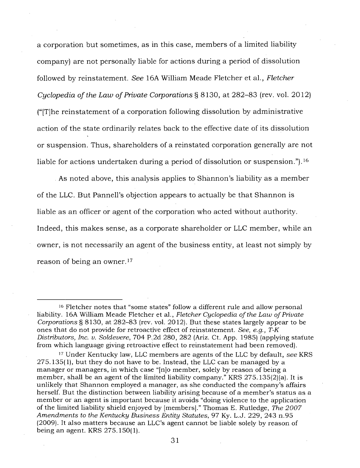a corporation but sometimes, as in this case, members of a limited liability company) are not personally liable for actions during a period of dissolution followed by reinstatement. *See* 16A William Meade Fletcher et al., *Fletcher Cyclopedia of the Law of Private Corporations §* 8130, at 282-83 (rev. vol. 2012) ("[T]he reinstatement of a corporation following dissolution by administrative action of the state ordinarily relates back to the effective date of its dissolution or suspension. Thus, shareholders of a reinstated corporation generally are not liable for actions undertaken during a period of dissolution or suspension.").<sup>16</sup>

As noted above, this analysis applies to Shannon's liability as a member of the LLC. But Pannell's objection appears to actually be that Shannon is liable as an officer or agent of the corporation who acted without authority. Indeed, this makes sense, as a corporate shareholder or LLC member, while an owner, is not necessarily an agent of the business entity, at least not simply by reason of being an owner. <sup>17</sup>

<sup>&</sup>lt;sup>16</sup> Fletcher notes that "some states" follow a different rule and allow personal liability. 16A William Meade Fletcher et al., *Fletcher Cyclopedia of the Law of Private Corporations §* 8130, at 282-83 (rev. vol. 2012). But these states largely appear to be ones that do not provide for retroactive effect of reinstatement. *See, e.g., T-K Distributors, Inc. v. Soldevere,* 704 P.2d 280, 282 (Ariz. Ct. App. 1985) (applying statute from which language giving retroactive effect to reinstatement had been removed).

<sup>17</sup>Under Kentucky law, LLC members are agents of the LLC by default, *see* KRS 275.135(1), but they do not have to be. Instead, the LLC can be managed by a manager or managers, in which case "[n]o member, solely by reason of being a member, shall be an agent of the limited liability company." KRS 275.135(2)(a). It is unlikely that Shannon employed a manager, as she conducted the company's affairs herself. But the distinction between liability arising because of a member's status as a member or an agent is important because it avoids "doing violence to the application of the limited liability shield enjoyed by [members]." Thomas E. Rutledge, *The 2007 Amendments to the Kentucky Business Entity Statutes,* 97 Ky. L.J. 229, 243 n.95 (2009). It also matters because an LLC's agent cannot be liable solely by reason of being an agent. KRS 275.150(1).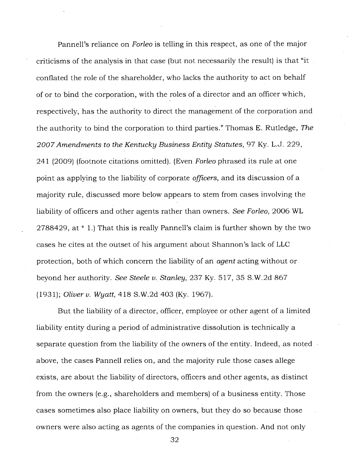Pannell's reliance on *Forleo* is telling in this respect, as one of the major criticisms of the analysis in that case (but not necessarily the result) is that "it conflated the role of the shareholder, who lacks the authority to act on behalf of or to bind the corporation, with the roles of a director and an officer which, respectively, has the authority to direct the management of the corporation and the authority to bind the corporation to third parties." Thomas E. Rutledge, *The 2007 Amendments to the Kentucky Business Entity Statutes,* 97 Ky. L.J. 229, 241 (2009) (footnote citations omitted). (Even *Forleo* phrased its rule at one point as applying to the liability of corporate *officers,* and its discussion of a majority rule, discussed more below appears to stem from cases involving the liability of officers and other agents rather than owners. *See Forleo,* 2006 WL 2788429, at \* 1.) That this is really Pannell's claim is further shown by the two cases he cites at the outset of his argument about Shannon's lack of LLC protection, both of which concern the liability of an *agent* acting without or beyond her authority. *See Steele v. Stanley,* 237 Ky. 517, 35 S.W.2d 867 (1931); *Oliver v. Wyatt,* 418 S.W.2d 403 (Ky. 1967).

But the liability of a director, officer, employee or other agent of a limited liability entity during a period of administrative dissolution is technically a separate question from the liability of the owners of the entity. Indeed, as noted above, the cases Pannell relies on, and the majority rule those cases allege exists, are about the liability of directors, officers and other agents, as distinct from the owners (e.g., shareholders and members) of a business entity. Those cases sometimes also place liability on owners, but they do so because those owners were also acting as agents of the companies in question. And not only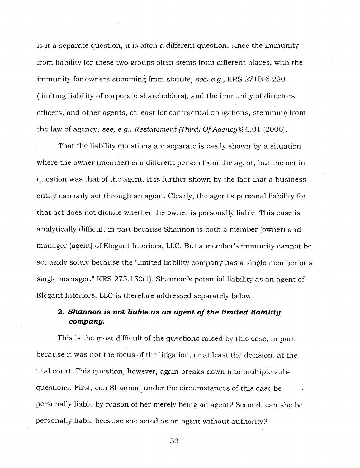is it a separate question, it is often a different question, since the immunity from liability for these two groups often stems from different places, with the immunity for owners stemming from statute, *see, e.g.,* KRS 271B.6.220 (limiting liability of corporate shareholders), and the immunity of directors, officers, and other agents, at least for contractual obligations, stemming from the law of agency, *see, e.g., Restatement (Third) Of Agency §* 6.01 (2006).

That the liability questions are separate is easily shown by a situation where the owner (member) is a different person from the agent, but the act in question was that of the agent. It is further shown by the fact that a business entity can only act through an agent. Clearly, the agent's personal liability for that act does not dictate whether the owner is personally liable. This case is analytically difficult in part because Shannon is both a member (owner) and manager (agent) of Elegant Interiors, LLC. But a member's immunity cannot be set aside solely because the "limited liability company has a single member or a single manager." KRS 275.150(1). Shannon's potential liability as an agent of Elegant Interiors, LLC is therefore addressed separately below.

# **2.** *Shannon is not liable as an agent of the limited liability company.*

This is the most difficult of the questions raised by this case, in part because it was not the focus of the litigation, or at least the decision, at the trial court. This question, however, again breaks down into multiple subquestions. First, can Shannon under the circumstances of this case be personally liable by reason of her merely being an agent? Second, can she be personally liable because she acted as an agent without authority?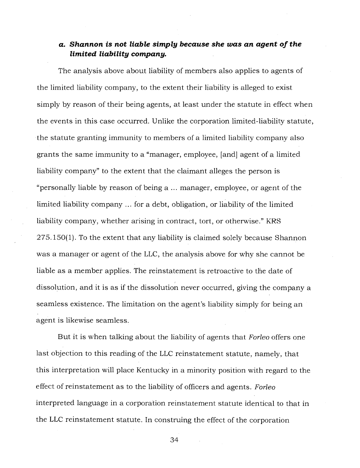# *a. Shannon is not liable simply because she was an agent of the limited liability company.*

The analysis above about liability of members also applies to agents of the limited liability company, to the extent their liability is alleged to exist simply by reason of their being agents, at least under the statute in effect when the events in this case occurred. Unlike the corporation limited-liability statute, the statute granting immunity to members of a limited liability company also grants the same immunity to a "manager, employee, [and] agent of a limited liability company" to the extent that the claimant alleges the person is "personally liable by reason of being a ... manager, employee, or agent of the limited liability company ... for a debt, obligation, or liability of the limited liability company, whether arising in contract, tort, or otherwise." KRS 275.150(1). To the extent that any liability is claimed solely because Shannon was a manager or agent of the LLC, the analysis above for why she cannot be liable as a member applies. The reinstatement is retroactive to the date of dissolution, and it is as if the dissolution never occurred, giving the company a seamless existence. The limitation on the agent's liability simply for being an agent is likewise seamless.

But it is when talking about the liability of agents that *Forleo* offers one last objection to this reading of the LLC reinstatement statute, namely, that this interpretation will place Kentucky in a minority position with regard to the effect of reinstatement as to the liability of officers and agents. *Forleo*  interpreted language in a corporation reinstatement statute identical to that in the LLC reinstatement statute. In construing the effect of the corporation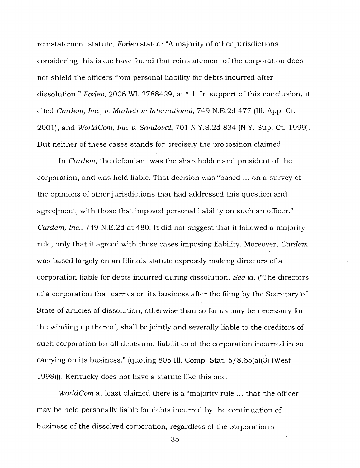reinstatement statute, *Forleo* stated: "A majority of other jurisdictions considering this issue have found that reinstatement of the corporation does not shield the officers from personal liability for debts incurred after dissolution." *Forleo,* 2006 WL 2788429, at \* 1. In support of this conclusion, it cited *Cardem, Inc., v. Marketron International,* 749 N.E.2d 477 (Ill. App. Ct. 2001), and *WorldCom, Inc. v. Sandoval,* 701 N.Y.S.2d 834 (N.Y. Sup. Ct. 1999). But neither of these cases stands for precisely the proposition claimed.

In *Cardem,* the defendant was the shareholder and president of the corporation, and was held liable. That decision was "based ... on a survey of the opinions of other jurisdictions that had addressed this question and agree[ment] with those that imposed personal liability on such an officer." *Cardem, Inc.,* 749 N.E.2d at 480. It did not suggest that it followed a majority rule, only that it agreed with those cases imposing liability. Moreover, *Cardem*  was based largely on an Illinois statute expressly making directors of a corporation liable for debts incurred during dissolution. *See id.* ("The directors of a corporation that carries on its business after the filing by the Secretary of State of articles of dissolution, otherwise than so far as may be necessary for the winding up thereof, shall be jointly and severally liable to the creditors of such corporation for all debts and liabilities of the corporation incurred in so carrying on its business." (quoting 805 Ill. Comp. Stat. 5/8.65(a)(3) (West 1998))). Kentucky does not have a statute like this one.

*WorldCom* at least claimed there is a "majority rule ... that 'the officer' may be held personally liable for debts incurred by the continuation of business of the dissolved corporation, regardless of the corporation's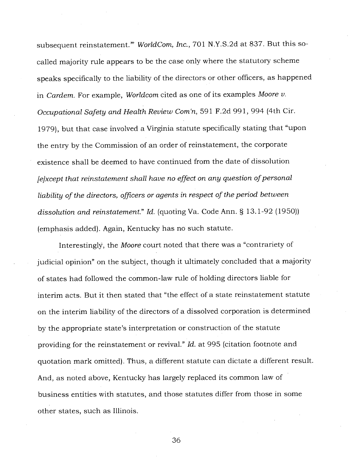subsequent reinstatement."' *WorldCom, Inc.,* 701 N.Y.S.2d at 837. But this socalled majority rule appears to be the case only where the statutory scheme speaks specifically to the liability of the directors or other officers, as happened in *Cardem.* For example, *Worldcom* cited as one of its examples *Moore v. Occupational Safety and Health Review Com'n,* 591 F.2d 991, 994 (4th Cir. 1979), but that case involved a Virginia statute specifically stating that "upon the entry by the Commission of an order of reinstatement, the corporate existence shall be deemed to have continued from the date of dissolution *[e]xcept that reinstatement shall have no effect on any question of personal liability of the directors, officers or agents in respect of the period between dissolution and reinstatement." Id.* (quoting Va. Code Ann. § 13.1-92 (1950)) (emphasis added). Again, Kentucky has no such statute.

Interestingly, the *Moore* court noted that there was a "contrariety of judicial opinion" on the subject, though it ultimately concluded that a majority of states had followed the common-law rule of holding directors liable for interim acts. But it then stated that "the effect of a state reinstatement statute on the interim liability of the directors of a dissolved corporation is determined by the appropriate state's interpretation or construction of the statute providing for the reinstatement or revival." *Id.* at 995 (citation footnote and quotation mark omitted). Thus, a different statute can dictate a different result. And, as noted above, Kentucky has largely replaced its common law of business entities with statutes, and those statutes differ from those in some other states, such as Illinois.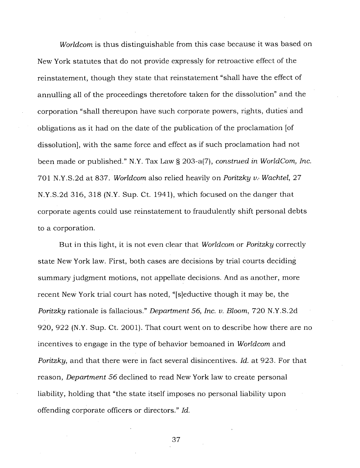*Worldcom* is thus distinguishable from this case because it was based on New York statutes that do not provide expressly for retroactive effect of the reinstatement, though they state that reinstatement "shall have the effect of annulling all of the proceedings theretofore taken for the dissolution" and the corporation "shall thereupon have such corporate powers, rights, duties and obligations as it had on the date of the publication of the proclamation [of dissolution], with the same force and effect as if such proclamation had not been made or published." N.Y. Tax Law § 203-a(7), *construed in WorldCom, Inc.*  701 N.Y.S.2d at 837. *Worldcom* also relied heavily on *Poritzky v. Wachtel*, 27 N.Y.S.2d 316, 318 (N.Y. Sup. Ct. 1941), which focused on the danger that corporate agents could use reinstatement to fraudulently shift personal debts to a corporation.

But in this light, it is not even clear that *Worldcom* or *Poritzky* correctly state New York law. First, both cases are decisions by trial courts deciding summary judgment motions, not appellate decisions. And as another, more recent New York trial court has noted, "[s]eductive though it may be, the *Poritzky* rationale is fallacious." *Department 56, Inc. v. Bloom,* 720 N.Y.S.2d 920, 922 (N.Y. Sup. Ct. 2001). That court went on to describe how there are no incentives to engage in the type of behavior bemoaned in *Worldcom* and *Poritzky,* and that there were in fact several disincentives. *Id.* at 923. For that reason, *Department 56* declined to read New York law to create personal liability, holding that "the state itself imposes no personal liability upon offending corporate officers or directors." *Id.*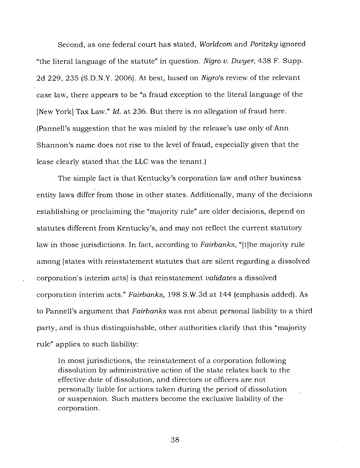Second, as one federal court has stated, *Worldcom* and *Poritzky* ignored "the literal language of the statute" in question. *Nigro v. Dwyer,* 438 F. Supp. 2d 229, 235 (S.D.N.Y. 2006). At best, based on *Nigro's* review of the relevant case law, there appears to be "a fraud exception to the literal language of the [New York] Tax Law." *Id.* at 236. But there is no allegation of fraud here. (Pannell's suggestion that he was misled by the release's use only of Ann Shannon's name does not rise to the level of fraud, especially given that the lease clearly stated that the LLC was the tenant.)

The simple fact is that Kentucky's corporation law and other business entity laws differ from those in other states. Additionally, many of the decisions establishing or proclaiming the "majority rule" are older decisions, depend on statutes different from Kentucky's, and may not reflect the current statutory law in those jurisdictions. In fact, according to *Fairbanks,* "[t]he majority rule among [states with reinstatement statutes that are silent regarding a dissolved corporation's interim acts] is that reinstatement *validates* a dissolved corporation interim acts." *Fairbanks,* 198 S.W.3d at 144 (emphasis added). As to Pannell's argument that *Fairbanks* was not about personal liability to a third party, and is thus distinguishable, other authorities clarify that this "majority rule" applies to such liability:

In most jurisdictions, the reinstatement of a corporation following dissolution by administrative action of the state relates back to the effective date of dissolution, and directors or officers are not personally liable for actions taken during the period of dissolution or suspension. Such matters become the exclusive liability of the corporation.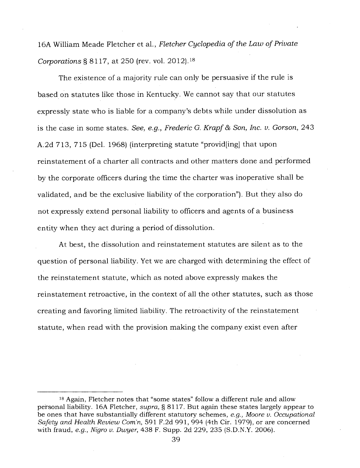16A William Meade Fletcher et al., *Fletcher Cyclopedia of the Law of Private Corporations §* 8117, at 250 (rev. vol. 2012). <sup>18</sup>

The existence of a majority rule can only be persuasive if the rule is based on statutes like those in Kentucky. We cannot say that our statutes expressly state who is liable for a company's debts while under dissolution as is the case in some states. *See, e.g., Frederic G. Krapf 86 Son, Inc. v. Gorson,* 243 A.2d 713, 715 (Del. 1968) (interpreting statute "provid[ing] that upon reinstatement of a charter all contracts and other matters done and performed by the corporate officers during the time the charter was inoperative shall be validated, and be the exclusive liability of the corporation"). But they also do not expressly extend personal liability to officers and agents of a business entity when they act during a period of dissolution.

At best, the dissolution and reinstatement statutes are silent as to the question of personal liability. Yet we are charged with determining the effect of the reinstatement statute, which as noted above expressly makes the reinstatement retroactive, in the context of all the other statutes, such as those creating and favoring limited liability. The retroactivity of the reinstatement statute, when read with the provision making the company exist even after

<sup>18</sup>Again, Fletcher notes that "some states" follow a different rule and allow personal liability. 16A Fletcher, *supra, §* 8117. But again these states largely appear to be ones that have substantially different statutory schemes, *e.g., Moore v. Occupational*  Safety and Health Review Com'n, 591 F.2d 991, 994 (4th Cir. 1979), or are concerned with fraud, *e.g., Nigro v. Dwyer,* 438 F. Supp. 2d 229, 235 (S.D.N.Y. 2006).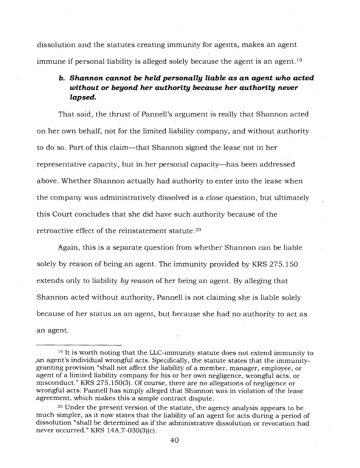dissolution and the statutes creating immunity for agents, makes an agent immune if personal liability is alleged solely because the agent is an agent.<sup>19</sup>

# *b. Shannon cannot be held personally liable as an agent who acted without or beyond her authority because her authority never lapsed.*

That said, the thrust of Pannell's argument is really that Shannon acted on her own behalf, not for the limited liability company, and without authority to do so. Part of this claim—that Shannon signed the lease not in her representative capacity, but in her personal capacity—has been addressed above. Whether Shannon actually had authority to enter into the lease when the company was administratively dissolved is a close question, but ultimately this Court concludes that she did have such authority because of the retroactive effect of the reinstatement statute. <sup>20</sup>

Again, this is a separate question from whether Shannon can be liable solely by reason of being an agent. The immunity provided by KRS 275.150 extends only to liability *by reason* of her being an agent. By alleging that Shannon acted without authority, Pannell is not claiming she is liable solely because of her status as an agent, but because she had no authority to act as an agent.

<sup>&</sup>lt;sup>19</sup> It is worth noting that the LLC-immunity statute does not extend immunity to an agent's individual wrongful acts. Specifically, the statute states that the immunitygranting provision "shall not affect the liability of a member, manager, employee, or agent of a limited liability company for his or her own negligence, wrongful acts, or misconduct." KRS 275.150(3). Of course, there are no allegations of negligence or wrongful acts: Pannell has simply alleged that Shannon was in violation of the lease agreement, which makes this a simple contract dispute.

<sup>20</sup>Under the present version of the statute, the agency analysis appears to be much simpler, as it now states that the liability of an agent for acts during a period of dissolution "shall be determined as if the administrative dissolution or revocation had never occurred." KRS 14A.7-030(3)(c).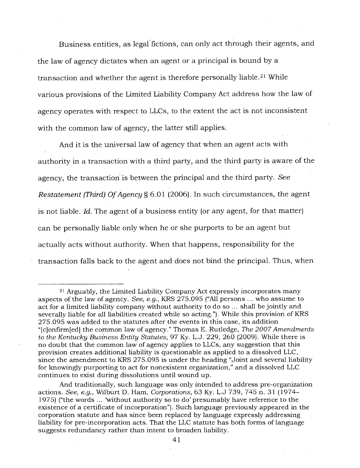Business entities, as legal fictions, can only act through their agents, and the law of agency dictates when an agent or a principal is bound by a transaction and whether the agent is therefore personally liable.<sup>21</sup> While various provisions of the Limited Liability Company Act address how the law of agency operates with respect to LLCs, to the extent the act is not inconsistent with the common law of agency, the latter still applies.

And it is the universal law of agency that when an agent acts with authority in a transaction with a third party, and the third party is aware of the agency, the transaction is between the principal and the third party. *See Restatement (Third) Of Agency §* 6.01 (2006). In such circumstances, the agent is not liable. *Id.* The agent of a business entity (or any agent, for that matter) can be personally liable only when he or she purports to be an agent but actually acts without authority. When that happens, responsibility for the transaction falls back to the agent and does not bind the principal. Thus, when

And traditionally, such language was only intended to address pre-organization actions. *See, e.g.,* Wilburt D. Ham, *Corporations,* 63 Ky. L.J 739, 745 n. 31 (1974- 1975) ("the words ... 'without authority so to do' presumably have reference to the existence of a certificate of incorporation"). Such language previously appeared in the corporation statute and has since been replaced by language expressly addressing liability for pre-incorporation acts. That the LLC statute has both forms of language suggests redundancy rather than intent to broaden liability.

<sup>21</sup>Arguably, the Limited Liability Company Act expressly incorporates many aspects of the law of agency. *See, e.g.,* KRS 275.095 ("All persons ... who assume to act for a limited liability company without authority to do so ... shall be jointly and severally liable for all liabilities created while so acting."). While this provision of KRS 275.095 was added to the statutes after the events in this case, its addition "[c]onfirm[ed] the common law of agency." Thomas E. Rutledge, *The 2007 Amendments to the Kentucky Business Entity Statutes,* 97 Ky. L.J. 229, 260 (2009). While there is no doubt that the common law of agency applies to LLCs, any suggestion that this provision creates additional liability is questionable as applied to a dissolved LLC, since the amendment to KRS 275.095 is under the heading "Joint and several liability for knowingly purporting to act for nonexistent organization," and a dissolved LLC continues to exist during dissolutions until wound up.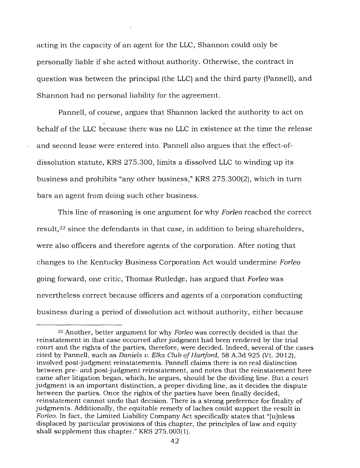acting in the capacity of an agent for the LLC, Shannon could only be personally liable if she acted without authority. Otherwise, the contract in question was between the principal (the LLC) and the third party (Pannell), and Shannon had no personal liability for the agreement.

Pannell, of course, argues that Shannon lacked the authority to act on behalf of the LLC because there was no LLC in existence at the time the release and second lease were entered into. Pannell also argues that the effect-ofdissolution statute, KRS 275.300, limits a dissolved LLC to winding up its business and prohibits "any other business," KRS 275.300(2), which in turn bars an agent from doing such other business.

This line of reasoning is one argument for why *Forleo* reached the correct result, <sup>22</sup> since the defendants in that case, in addition to being shareholders, were also officers and therefore agents of the corporation. After noting that changes to the Kentucky Business Corporation Act would undermine *Forleo*  going forward, one critic, Thomas Rutledge, has argued that *Forleo* was nevertheless correct because officers and agents of a corporation conducting business during a period of dissolution act without authority, either because

<sup>22</sup>Another, better argument for why *Forleo* was correctly decided is that the reinstatement in that case occurred after judgment had been rendered by the trial court and the rights of the parties, therefore, were decided. Indeed, several of the cases cited by Pannell, such as *Daniels v. Elks Club of Hartford,* 58 A.3d 925 (Vt. 2012), involved post-judgment reinstatements. Pannell claims there is no real distinction between pre- and post-judgment reinstatement, and notes that the reinstatement here came after litigation began, which, he argues, should be the dividing line. But a court judgment is an important distinction, a proper dividing line, as it decides the dispute between the parties. Once the rights of the parties have been finally decided, reinstatement cannot undo that decision. There is a strong preference for finality of judgments. Additionally, the equitable remedy of laches could support the result in *Forleo.* In fact, the Limited Liability Company Act specifically states that "[u]nless displaced by particular provisions of this chapter, the principles of law and equity shall supplement this chapter." KRS 275.003(1).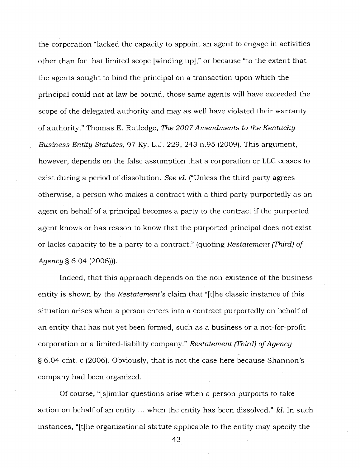the corporation "lacked the capacity to appoint an agent to engage in activities other than for that limited scope [winding up]," or because "to the extent that the agents sought to bind the principal on a transaction upon which the principal could not at law be bound, those same agents will have exceeded the scope of the delegated authority and may as well have violated their warranty of authority." Thomas E. Rutledge, *The 2007 Amendments to the Kentucky Business Entity Statutes,* 97 Ky. L.J. 229, 243 n.95 (2009). This argument, however, depends on the false assumption that a corporation or LLC ceases to exist during a period of dissolution. *See id.* ("Unless the third party agrees otherwise, a person who makes a contract with a third party purportedly as an agent on behalf of a principal becomes a party to the contract if the purported agent knows or has reason to know that the purported principal does not exist or lacks capacity to be a party to a contract." (quoting *Restatement (Third) of Agency §* 6.04 (2006))).

Indeed, that this approach depends on the non-existence of the business entity is shown by the *Restatement's* claim that "[t]he classic instance of this situation arises when a person enters into a contract purportedly on behalf of an entity that has not yet been formed, such as a business or a not-for-profit corporation or a limited-liability company." *Restatement (Third) of Agency*  § 6.04 cmt. c (2006). Obviously, that is not the case here because Shannon's company had been organized.

Of course, "[s]imilar questions arise when a person purports to take action on behalf of an entity ... when the entity has been dissolved." *Id.* In such instances, "[t]he organizational statute applicable to the entity may specify the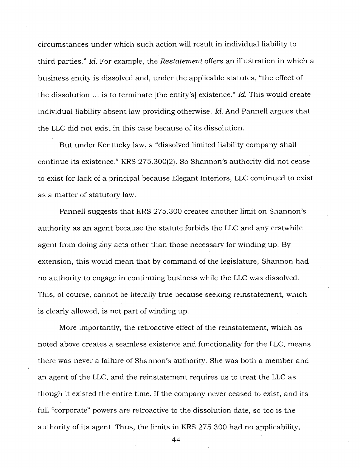circumstances under which such action will result in individual liability to third parties." *Id.* For example, the *Restatement* offers an illustration in which a business entity is dissolved and, under the applicable statutes, "the effect of the dissolution ... is to terminate [the entity's] existence." *Id.* This would create individual liability absent law providing otherwise. *Id.* And Pannell argues that the LLC did not exist in this case because of its dissolution.

But under Kentucky law, a "dissolved limited liability company shall continue its existence." KRS 275.300(2). So Shannon's authority did not cease to exist for lack of a principal because Elegant Interiors, LLC continued to exist as a matter of statutory law.

Pannell suggests that KRS 275.300 creates another limit on Shannon's authority as an agent because the statute forbids the LLC and any erstwhile agent from doing any acts other than those necessary for winding up. By extension, this would mean that by command of the legislature, Shannon had no authority to engage in continuing business while the LLC was dissolved. This, of course, cannot be literally true because seeking reinstatement, which is clearly allowed, is not part of winding up.

More importantly, the retroactive effect of the reinstatement, which as noted above creates a seamless existence and functionality for the LLC, means there was never a failure of Shannon's authority. She was both a member and an agent of the LLC, and the reinstatement requires us to treat the LLC as though it existed the entire time. If the company never ceased to exist, and its full "corporate" powers are retroactive to the dissolution date, so too is the authority of its agent. Thus, the limits in KRS 275.300 had no applicability,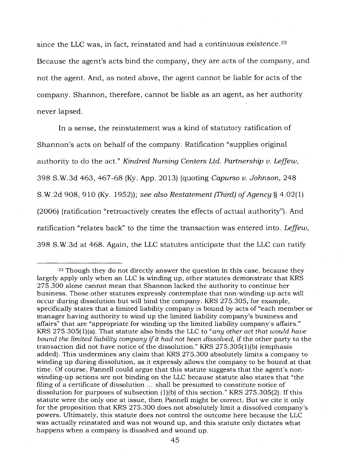since the LLC was, in fact, reinstated and had a continuous existence. <sup>23</sup> Because the agent's acts bind the company, they are acts of the company, and not the agent. And, as noted above, the agent cannot be liable for acts of the company. Shannon, therefore, cannot be liable as an agent, as her authority never lapsed.

In a sense, the reinstatement was a kind of statutory ratification of Shannon's acts on behalf of the company. Ratification "supplies original authority to do the act." *Kindred Nursing Centers Ltd. Partnership v. Leffew,*  398 S.W.3d 463, 467 -68 (Ky. App. 2013) (quoting *Capurso v. Johnson,* 248 S.W.2d 908, 910 (Ky. 1952)); *see also Restatement (Third) of Agency §* 4.02(1) (2006) (ratification "retroactively creates the effects of actual authority"). And ratification "relates back" to the time the transaction was entered into. *Leffew,*  398 S.W.3d at 468. Again, the LLC statutes anticipate that the LLC can ratify .

<sup>&</sup>lt;sup>23</sup> Though they do not directly answer the question in this case, because they largely apply only when an LLC is winding up, other statutes demonstrate that KRS 275.300 alone cannot mean that Shannon lacked the authority to continue her business. Those other statutes expressly contemplate that non-winding-up acts will occur during dissolution but will bind the company. KRS 275.305, for example, specifically states that a limited liability company is bound by acts of "each member or manager having authority to wind up the limited liability company's business and affairs" that are "appropriate for winding up the limited liability company's affairs." KRS 275.305(1)(a). That statute also binds the LLC to *"any other act that would have bound the limited liability company if it had not been dissolved,* if the other party to the transaction did not have notice of the dissolution." KRS 275.305(1)(b) (emphasis added). This undermines any claim that KRS 275.300 absolutely limits a company to winding up during dissolution, as it expressly allows the company to be bound at that time. Of course, Pannell could argue that this statute suggests that the agent's nonwinding-up actions are not binding on the LLC because statute also states that "the filing of a certificate of dissolution ... shall be presumed to constitute notice of dissolution for purposes of subsection  $(1)(b)$  of this section." KRS 275.305(2). If this statute were the only one at issue, then Pannell might be correct. But we cite it only for the proposition that KRS 275.300 does not absolutely limit a dissolved company's powers. Ultimately, this statute does not control the outcome here because the LLC was actually reinstated and was not wound up, and this statute only dictates what happens when a company is dissolved and wound up.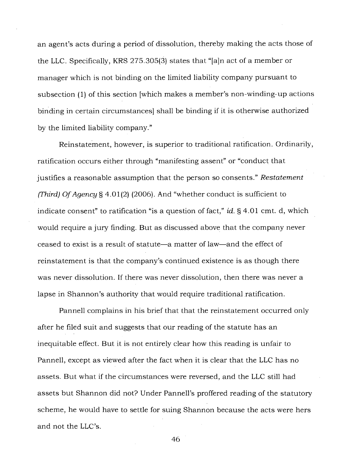an agent's acts during a period of dissolution, thereby making the acts those of the LLC. Specifically, KRS 275.305(3) states that "[a]n act of a member or manager which is not binding on the limited liability company pursuant to subsection (1) of this section [which makes a member's non-winding-up actions binding in certain circumstances] shall be binding if it is otherwise authorized by the limited liability company."

Reinstatement, however, is superior to traditional ratification. Ordinarily, ratification occurs either through "manifesting assent" or "conduct that justifies a reasonable assumption that the person so consents." *Restatement (Third) Of Agency §* 4.01(2) (2006). And "whether conduct is sufficient to indicate consent" to ratification "is a question of fact," *id. §* 4.01 cmt. d, which would require a jury finding. But as discussed above that the company never ceased to exist is a result of statute—a matter of law—and the effect of reinstatement is that the company's continued existence is as though there was never dissolution. If there was never dissolution, then there was never a lapse in Shannon's authority that would require traditional ratification.

Pannell complains in his brief that that the reinstatement occurred only after he filed suit and suggests that our reading of the statute has an inequitable effect. But it is not entirely clear how this reading is unfair to Pannell, except as viewed after the fact when it is clear that the LLC has no assets. But what if the circumstances were reversed, and the LLC still had assets but Shannon did not? Under Pannell's proffered reading of the statutory scheme, he would have to settle for suing Shannon because the acts were hers and not the LLC's.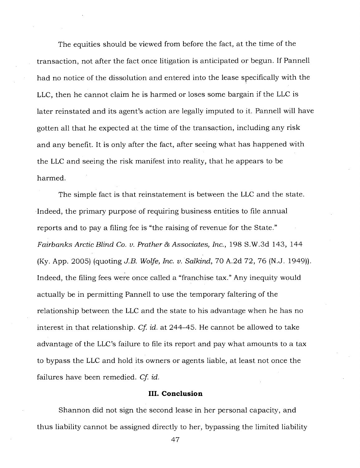The equities should be viewed from before the fact, at the time of the transaction, not after the fact once litigation is anticipated or begun. If Pannell had no notice of the dissolution and entered into the lease specifically with the LLC, then he cannot claim he is harmed or loses some bargain if the LLC is later reinstated and its agent's action are legally imputed to it. Pannell will have gotten all that he expected at the time of the transaction, including any risk and any benefit. It is only after the fact, after seeing what has happened with the LLC and seeing the risk manifest into reality, that he appears to be harmed.

The simple fact is that reinstatement is between the LLC and the state. Indeed, the primary purpose of requiring business entities to file annual reports and to pay a filing fee is "the raising of revenue for the State." *Fairbanks Arctic Blind Co. v. Prather & Associates, Inc.,* 198 S.W.3d 143, 144 (Ky. App. 2005) (quoting *J.B. Wolfe, Inc. v. Salkind,* 70 A.2d 72, 76 (N.J. 1949)). Indeed, the filing fees were once called a "franchise tax." Any inequity would actually be in permitting Pannell to use the temporary faltering of the relationship between the LLC and the state to his advantage when he has no interest in that relationship. *Cf id.* at 244-45. He cannot be allowed to take advantage of the LLC's failure to file its report and pay what amounts to a tax to bypass the LLC and hold its owners or agents liable, at least not once the failures have been remedied. *Cf id.* 

#### **III. Conclusion**

Shannon did not sign the second lease in her personal capacity, and thus liability cannot be assigned directly to her, bypassing the limited liability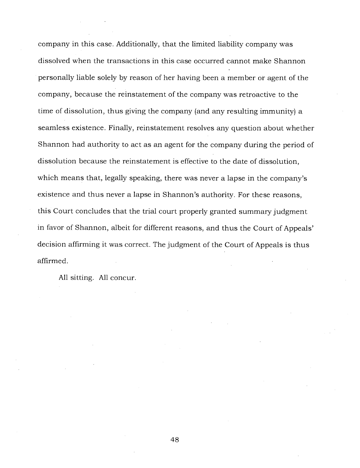company in this case. Additionally, that the limited liability company was dissolved when the transactions in this case occurred cannot make Shannon personally liable solely by reason of her having been a member or agent of the company, because the reinstatement of the company was retroactive to the time of dissolution, thus giving the company (and any resulting immunity) a seamless existence. Finally, reinstatement resolves any question about whether Shannon had authority to act as an agent for the company during the period of dissolution because the reinstatement is effective to the date of dissolution, which means that, legally speaking, there was never a lapse in the company's existence and thus never a lapse in Shannon's authority. For these reasons, this Court concludes that the trial court properly granted summary judgment in favor of Shannon, albeit for different reasons, and thus the Court of Appeals' decision affirming it was correct. The judgment of the Court of Appeals is thus affirmed.

All sitting. All concur.